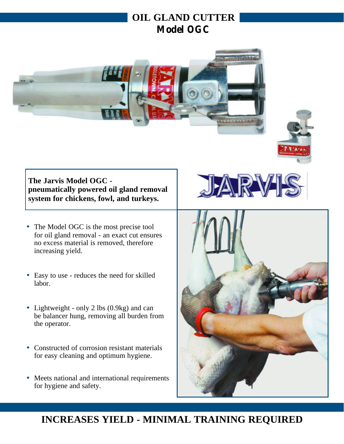# **OIL GLAND CUTTER Model OGC**





**The Jarvis Model OGC pneumatically powered oil gland removal system for chickens, fowl, and turkeys.**

- The Model OGC is the most precise tool for oil gland removal - an exact cut ensures no excess material is removed, therefore increasing yield.
- Easy to use reduces the need for skilled labor.
- Lightweight only 2 lbs (0.9kg) and can be balancer hung, removing all burden from the operator.
- Constructed of corrosion resistant materials for easy cleaning and optimum hygiene.
- Meets national and international requirements for hygiene and safety.



# **INCREASES YIELD - MINIMAL TRAINING REQUIRED**